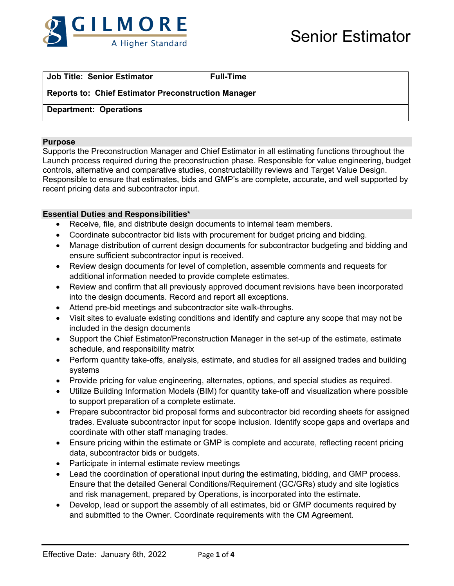

| <b>Job Title: Senior Estimator</b>                         | l Full-Time |  |  |
|------------------------------------------------------------|-------------|--|--|
| <b>Reports to: Chief Estimator Preconstruction Manager</b> |             |  |  |
| <b>Department: Operations</b>                              |             |  |  |

#### **Purpose**

Supports the Preconstruction Manager and Chief Estimator in all estimating functions throughout the Launch process required during the preconstruction phase. Responsible for value engineering, budget controls, alternative and comparative studies, constructability reviews and Target Value Design. Responsible to ensure that estimates, bids and GMP's are complete, accurate, and well supported by recent pricing data and subcontractor input.

#### **Essential Duties and Responsibilities\***

- Receive, file, and distribute design documents to internal team members.
- Coordinate subcontractor bid lists with procurement for budget pricing and bidding.
- Manage distribution of current design documents for subcontractor budgeting and bidding and ensure sufficient subcontractor input is received.
- Review design documents for level of completion, assemble comments and requests for additional information needed to provide complete estimates.
- Review and confirm that all previously approved document revisions have been incorporated into the design documents. Record and report all exceptions.
- Attend pre-bid meetings and subcontractor site walk-throughs.
- Visit sites to evaluate existing conditions and identify and capture any scope that may not be included in the design documents
- Support the Chief Estimator/Preconstruction Manager in the set-up of the estimate, estimate schedule, and responsibility matrix
- Perform quantity take-offs, analysis, estimate, and studies for all assigned trades and building systems
- Provide pricing for value engineering, alternates, options, and special studies as required.
- Utilize Building Information Models (BIM) for quantity take-off and visualization where possible to support preparation of a complete estimate.
- Prepare subcontractor bid proposal forms and subcontractor bid recording sheets for assigned trades. Evaluate subcontractor input for scope inclusion. Identify scope gaps and overlaps and coordinate with other staff managing trades.
- Ensure pricing within the estimate or GMP is complete and accurate, reflecting recent pricing data, subcontractor bids or budgets.
- Participate in internal estimate review meetings
- Lead the coordination of operational input during the estimating, bidding, and GMP process. Ensure that the detailed General Conditions/Requirement (GC/GRs) study and site logistics and risk management, prepared by Operations, is incorporated into the estimate.
- Develop, lead or support the assembly of all estimates, bid or GMP documents required by and submitted to the Owner. Coordinate requirements with the CM Agreement.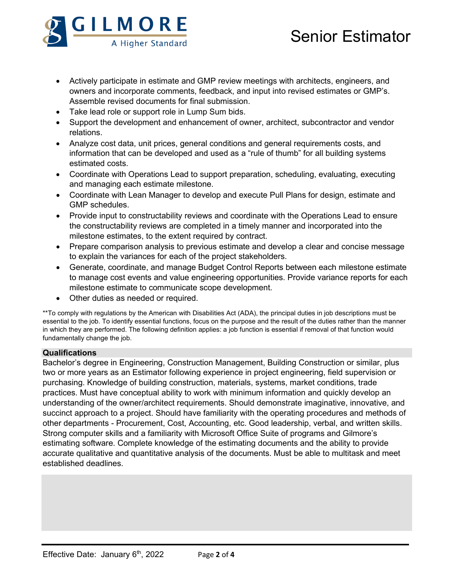

# Senior Estimator

- Actively participate in estimate and GMP review meetings with architects, engineers, and owners and incorporate comments, feedback, and input into revised estimates or GMP's. Assemble revised documents for final submission.
- Take lead role or support role in Lump Sum bids.
- Support the development and enhancement of owner, architect, subcontractor and vendor relations.
- Analyze cost data, unit prices, general conditions and general requirements costs, and information that can be developed and used as a "rule of thumb" for all building systems estimated costs.
- Coordinate with Operations Lead to support preparation, scheduling, evaluating, executing and managing each estimate milestone.
- Coordinate with Lean Manager to develop and execute Pull Plans for design, estimate and GMP schedules.
- Provide input to constructability reviews and coordinate with the Operations Lead to ensure the constructability reviews are completed in a timely manner and incorporated into the milestone estimates, to the extent required by contract.
- Prepare comparison analysis to previous estimate and develop a clear and concise message to explain the variances for each of the project stakeholders.
- Generate, coordinate, and manage Budget Control Reports between each milestone estimate to manage cost events and value engineering opportunities. Provide variance reports for each milestone estimate to communicate scope development.
- Other duties as needed or required.

\*\*To comply with regulations by the American with Disabilities Act (ADA), the principal duties in job descriptions must be essential to the job. To identify essential functions, focus on the purpose and the result of the duties rather than the manner in which they are performed. The following definition applies: a job function is essential if removal of that function would fundamentally change the job.

## **Qualifications**

Bachelor's degree in Engineering, Construction Management, Building Construction or similar, plus two or more years as an Estimator following experience in project engineering, field supervision or purchasing. Knowledge of building construction, materials, systems, market conditions, trade practices. Must have conceptual ability to work with minimum information and quickly develop an understanding of the owner/architect requirements. Should demonstrate imaginative, innovative, and succinct approach to a project. Should have familiarity with the operating procedures and methods of other departments - Procurement, Cost, Accounting, etc. Good leadership, verbal, and written skills. Strong computer skills and a familiarity with Microsoft Office Suite of programs and Gilmore's estimating software. Complete knowledge of the estimating documents and the ability to provide accurate qualitative and quantitative analysis of the documents. Must be able to multitask and meet established deadlines.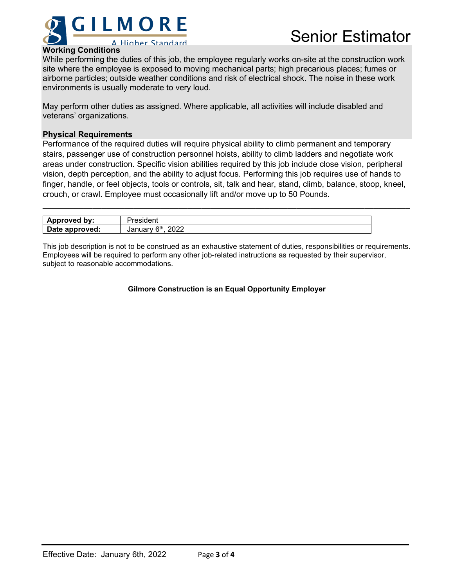

## **Working Conditions**

While performing the duties of this job, the employee regularly works on-site at the construction work site where the employee is exposed to moving mechanical parts; high precarious places; fumes or airborne particles; outside weather conditions and risk of electrical shock. The noise in these work environments is usually moderate to very loud.

May perform other duties as assigned. Where applicable, all activities will include disabled and veterans' organizations.

### **Physical Requirements**

Performance of the required duties will require physical ability to climb permanent and temporary stairs, passenger use of construction personnel hoists, ability to climb ladders and negotiate work areas under construction. Specific vision abilities required by this job include close vision, peripheral vision, depth perception, and the ability to adjust focus. Performing this job requires use of hands to finger, handle, or feel objects, tools or controls, sit, talk and hear, stand, climb, balance, stoop, kneel, crouch, or crawl. Employee must occasionally lift and/or move up to 50 Pounds.

**\_\_\_\_\_\_\_\_\_\_\_\_\_\_\_\_\_\_\_\_\_\_\_\_\_\_\_\_\_\_\_\_\_\_\_\_\_\_\_\_\_\_\_\_\_\_\_\_\_\_\_\_\_\_\_\_\_\_\_\_\_\_\_\_\_\_\_\_\_\_\_\_\_\_\_\_\_\_\_\_\_**

| Approved by:   | $  -$<br>.                   |
|----------------|------------------------------|
| Date approved: | <b>Ath</b><br>2022<br>Januar |

This job description is not to be construed as an exhaustive statement of duties, responsibilities or requirements. Employees will be required to perform any other job-related instructions as requested by their supervisor, subject to reasonable accommodations.

#### **Gilmore Construction is an Equal Opportunity Employer**